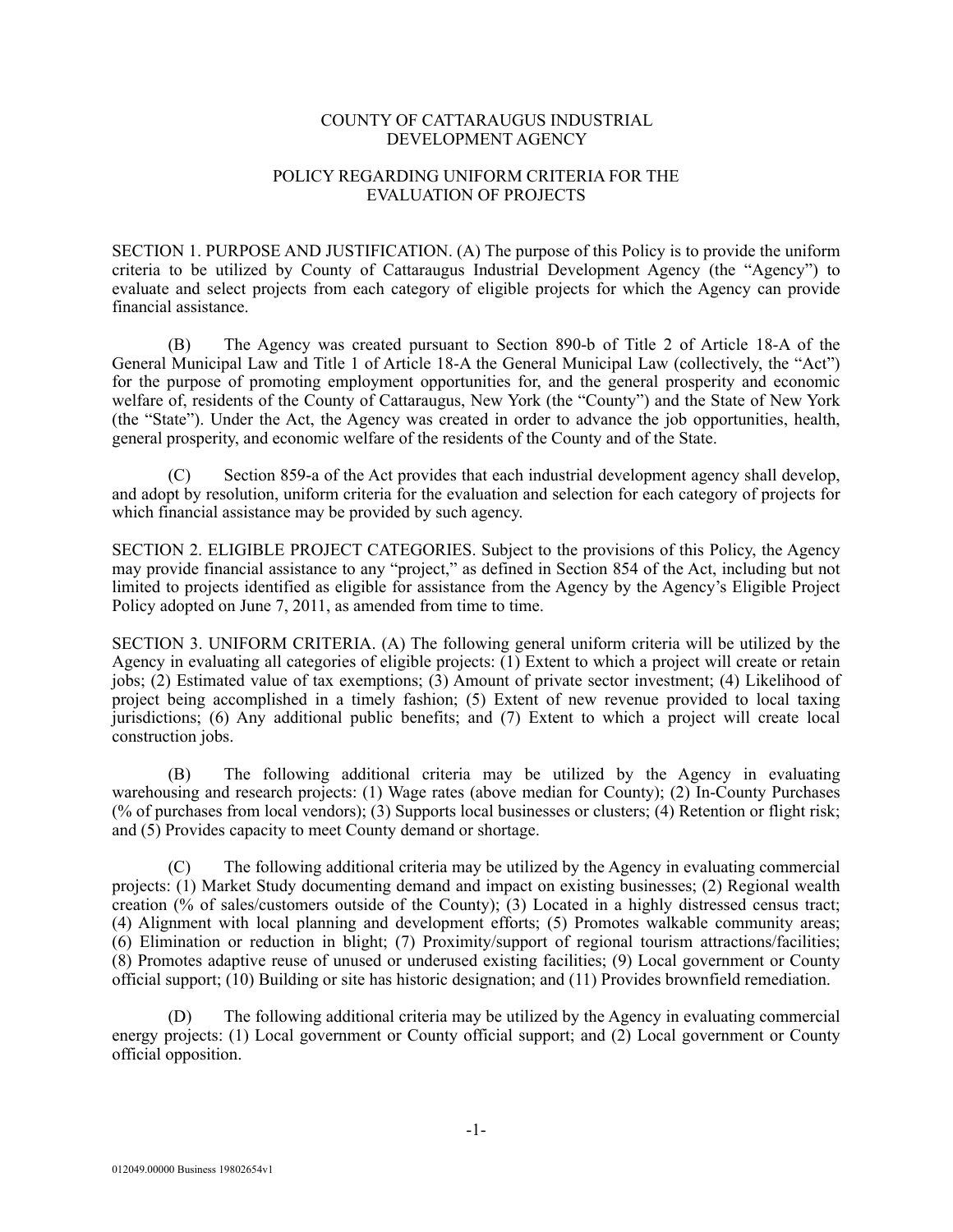## COUNTY OF CATTARAUGUS INDUSTRIAL DEVELOPMENT AGENCY

## POLICY REGARDING UNIFORM CRITERIA FOR THE EVALUATION OF PROJECTS

SECTION 1. PURPOSE AND JUSTIFICATION. (A) The purpose of this Policy is to provide the uniform criteria to be utilized by County of Cattaraugus Industrial Development Agency (the "Agency") to evaluate and select projects from each category of eligible projects for which the Agency can provide financial assistance.

(B) The Agency was created pursuant to Section 890-b of Title 2 of Article 18-A of the General Municipal Law and Title 1 of Article 18-A the General Municipal Law (collectively, the "Act") for the purpose of promoting employment opportunities for, and the general prosperity and economic welfare of, residents of the County of Cattaraugus, New York (the "County") and the State of New York (the "State"). Under the Act, the Agency was created in order to advance the job opportunities, health, general prosperity, and economic welfare of the residents of the County and of the State.

(C) Section 859-a of the Act provides that each industrial development agency shall develop, and adopt by resolution, uniform criteria for the evaluation and selection for each category of projects for which financial assistance may be provided by such agency.

SECTION 2. ELIGIBLE PROJECT CATEGORIES. Subject to the provisions of this Policy, the Agency may provide financial assistance to any "project," as defined in Section 854 of the Act, including but not limited to projects identified as eligible for assistance from the Agency by the Agency's Eligible Project Policy adopted on June 7, 2011, as amended from time to time.

SECTION 3. UNIFORM CRITERIA. (A) The following general uniform criteria will be utilized by the Agency in evaluating all categories of eligible projects: (1) Extent to which a project will create or retain jobs; (2) Estimated value of tax exemptions; (3) Amount of private sector investment; (4) Likelihood of project being accomplished in a timely fashion; (5) Extent of new revenue provided to local taxing jurisdictions; (6) Any additional public benefits; and (7) Extent to which a project will create local construction jobs.

(B) The following additional criteria may be utilized by the Agency in evaluating warehousing and research projects: (1) Wage rates (above median for County); (2) In-County Purchases (% of purchases from local vendors); (3) Supports local businesses or clusters; (4) Retention or flight risk; and (5) Provides capacity to meet County demand or shortage.

(C) The following additional criteria may be utilized by the Agency in evaluating commercial projects: (1) Market Study documenting demand and impact on existing businesses; (2) Regional wealth creation (% of sales/customers outside of the County); (3) Located in a highly distressed census tract; (4) Alignment with local planning and development efforts; (5) Promotes walkable community areas; (6) Elimination or reduction in blight; (7) Proximity/support of regional tourism attractions/facilities; (8) Promotes adaptive reuse of unused or underused existing facilities; (9) Local government or County official support; (10) Building or site has historic designation; and (11) Provides brownfield remediation.

(D) The following additional criteria may be utilized by the Agency in evaluating commercial energy projects: (1) Local government or County official support; and (2) Local government or County official opposition.